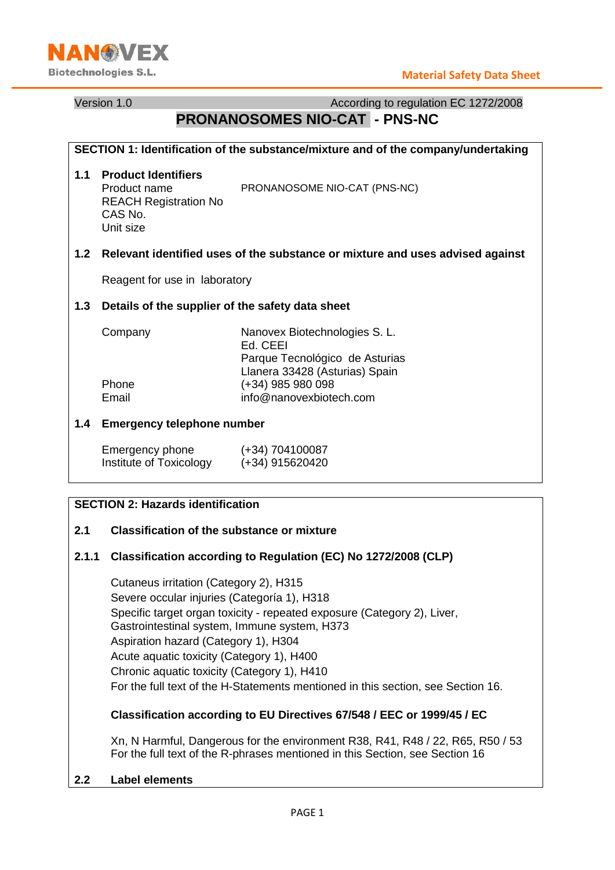

Version 1.0 **According to regulation EC 1272/2008** According to regulation EC 1272/2008

# **PRONANOSOMES NIO-CAT - PNS-NC**

| SECTION 1: Identification of the substance/mixture and of the company/undertaking |                                                                                                                    |                                                                                                               |  |  |  |
|-----------------------------------------------------------------------------------|--------------------------------------------------------------------------------------------------------------------|---------------------------------------------------------------------------------------------------------------|--|--|--|
| 1.1                                                                               | <b>Product Identifiers</b><br>Product name<br><b>REACH Registration No</b><br>CAS No.<br>Unit size                 | PRONANOSOME NIO-CAT (PNS-NC)                                                                                  |  |  |  |
|                                                                                   | 1.2 Relevant identified uses of the substance or mixture and uses advised against<br>Reagent for use in laboratory |                                                                                                               |  |  |  |
|                                                                                   |                                                                                                                    |                                                                                                               |  |  |  |
| 1.3                                                                               | Details of the supplier of the safety data sheet                                                                   |                                                                                                               |  |  |  |
|                                                                                   | Company                                                                                                            | Nanovex Biotechnologies S. L.<br>Ed. CEEI<br>Parque Tecnológico de Asturias<br>Llanera 33428 (Asturias) Spain |  |  |  |
|                                                                                   | Phone                                                                                                              | (+34) 985 980 098                                                                                             |  |  |  |
|                                                                                   | Email                                                                                                              | info@nanovexbiotech.com                                                                                       |  |  |  |
| 1.4                                                                               | <b>Emergency telephone number</b>                                                                                  |                                                                                                               |  |  |  |
|                                                                                   | Emergency phone<br>Institute of Toxicology                                                                         | $(+34)$ 704100087<br>(+34) 915620420                                                                          |  |  |  |

## **SECTION 2: Hazards identification**

#### **2.1 Classification of the substance or mixture**

#### **2.1.1 Classification according to Regulation (EC) No 1272/2008 (CLP)**

Cutaneus irritation (Category 2), H315 Severe occular injuries (Categoría 1), H318 Specific target organ toxicity - repeated exposure (Category 2), Liver, Gastrointestinal system, Immune system, H373 Aspiration hazard (Category 1), H304 Acute aquatic toxicity (Category 1), H400 Chronic aquatic toxicity (Category 1), H410 For the full text of the H-Statements mentioned in this section, see Section 16.

#### **Classification according to EU Directives 67/548 / EEC or 1999/45 / EC**

Xn, N Harmful, Dangerous for the environment R38, R41, R48 / 22, R65, R50 / 53 For the full text of the R-phrases mentioned in this Section, see Section 16

#### **2.2 Label elements**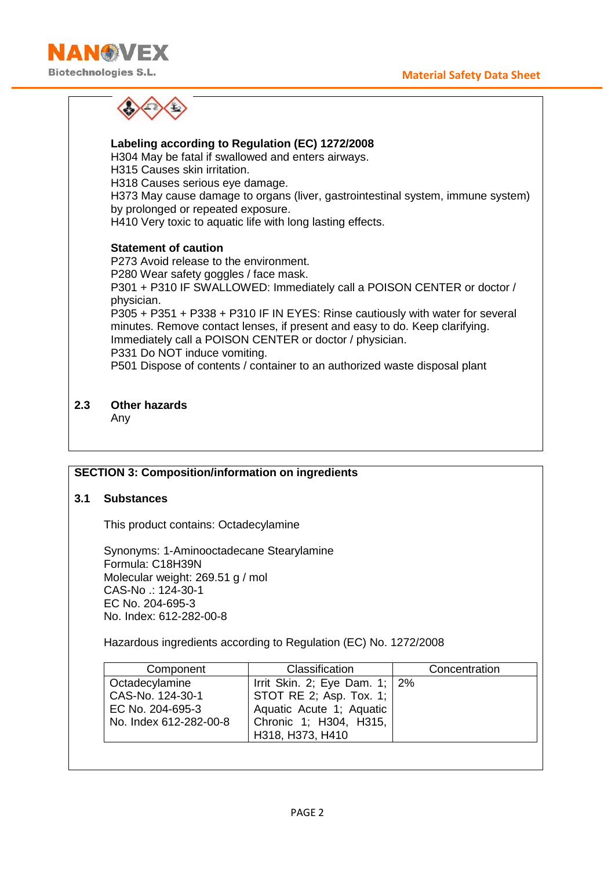

**Labeling according to Regulation (EC) 1272/2008** H304 May be fatal if swallowed and enters airways. H315 Causes skin irritation. H318 Causes serious eye damage. H373 May cause damage to organs (liver, gastrointestinal system, immune system) by prolonged or repeated exposure. H410 Very toxic to aquatic life with long lasting effects. **Statement of caution** P273 Avoid release to the environment. P280 Wear safety goggles / face mask. P301 + P310 IF SWALLOWED: Immediately call a POISON CENTER or doctor / physician. P305 + P351 + P338 + P310 IF IN EYES: Rinse cautiously with water for several minutes. Remove contact lenses, if present and easy to do. Keep clarifying. Immediately call a POISON CENTER or doctor / physician. P331 Do NOT induce vomiting. P501 Dispose of contents / container to an authorized waste disposal plant

**2.3 Other hazards**

Any

#### **SECTION 3: Composition/information on ingredients**

#### **3.1 Substances**

This product contains: Octadecylamine

Synonyms: 1-Aminooctadecane Stearylamine Formula: C18H39N Molecular weight: 269.51 g / mol CAS-No .: 124-30-1 EC No. 204-695-3 No. Index: 612-282-00-8

Hazardous ingredients according to Regulation (EC) No. 1272/2008

|                                  | Concentration |
|----------------------------------|---------------|
| Irrit Skin. 2; Eye Dam. $1$ ; 2% |               |
| STOT RE 2; Asp. Tox. 1;          |               |
| Aquatic Acute 1; Aquatic         |               |
| Chronic 1; H304, H315,           |               |
| H318, H373, H410                 |               |
|                                  |               |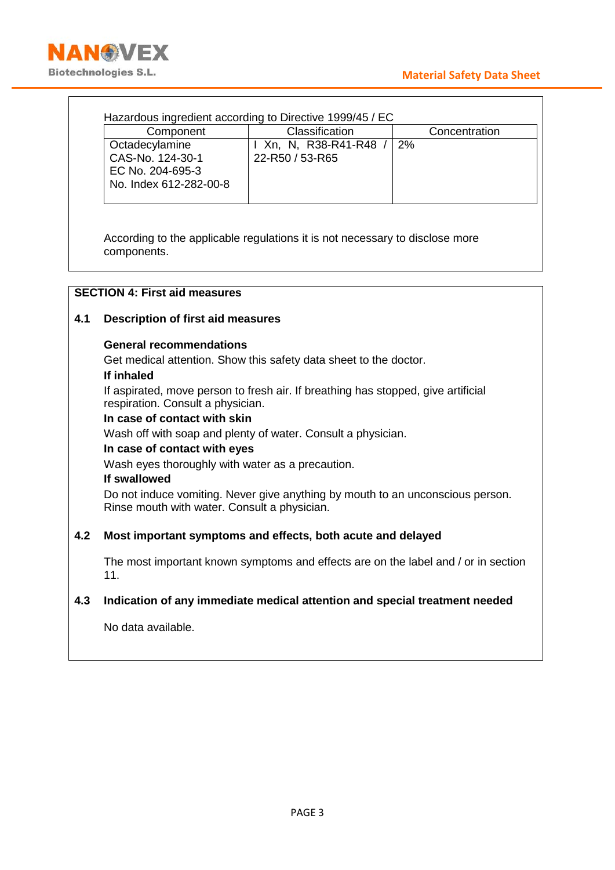## **Material Safety Data Sheet**



|     | Component                                                                                                                                                                                                                                                                                                | Classification                                                                                                                                                                                                                      | Concentration |  |  |
|-----|----------------------------------------------------------------------------------------------------------------------------------------------------------------------------------------------------------------------------------------------------------------------------------------------------------|-------------------------------------------------------------------------------------------------------------------------------------------------------------------------------------------------------------------------------------|---------------|--|--|
|     | Octadecylamine<br>CAS-No. 124-30-1<br>EC No. 204-695-3                                                                                                                                                                                                                                                   | I Xn, N, R38-R41-R48 /<br>22-R50 / 53-R65                                                                                                                                                                                           | 2%            |  |  |
|     | No. Index 612-282-00-8                                                                                                                                                                                                                                                                                   |                                                                                                                                                                                                                                     |               |  |  |
|     | components.                                                                                                                                                                                                                                                                                              | According to the applicable regulations it is not necessary to disclose more                                                                                                                                                        |               |  |  |
|     | <b>SECTION 4: First aid measures</b>                                                                                                                                                                                                                                                                     |                                                                                                                                                                                                                                     |               |  |  |
|     | <b>Description of first aid measures</b>                                                                                                                                                                                                                                                                 |                                                                                                                                                                                                                                     |               |  |  |
|     | <b>General recommendations</b>                                                                                                                                                                                                                                                                           |                                                                                                                                                                                                                                     |               |  |  |
|     | Get medical attention. Show this safety data sheet to the doctor.<br>If inhaled<br>respiration. Consult a physician.<br>In case of contact with skin<br>In case of contact with eyes<br>Wash eyes thoroughly with water as a precaution.<br>If swallowed<br>Rinse mouth with water. Consult a physician. | If aspirated, move person to fresh air. If breathing has stopped, give artificial<br>Wash off with soap and plenty of water. Consult a physician.<br>Do not induce vomiting. Never give anything by mouth to an unconscious person. |               |  |  |
|     |                                                                                                                                                                                                                                                                                                          | Most important symptoms and effects, both acute and delayed                                                                                                                                                                         |               |  |  |
| 11. |                                                                                                                                                                                                                                                                                                          | The most important known symptoms and effects are on the label and / or in section                                                                                                                                                  |               |  |  |
|     |                                                                                                                                                                                                                                                                                                          | Indication of any immediate medical attention and special treatment needed                                                                                                                                                          |               |  |  |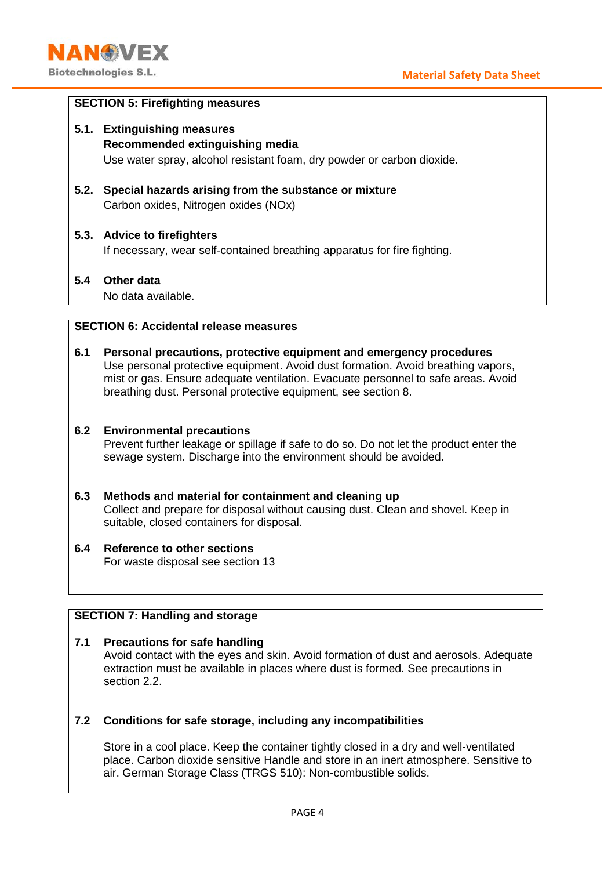

#### **SECTION 5: Firefighting measures**

- **5.1. Extinguishing measures Recommended extinguishing media** Use water spray, alcohol resistant foam, dry powder or carbon dioxide.
- **5.2. Special hazards arising from the substance or mixture** Carbon oxides, Nitrogen oxides (NOx)

#### **5.3. Advice to firefighters**

If necessary, wear self-contained breathing apparatus for fire fighting.

#### **5.4 Other data**

No data available.

## **SECTION 6: Accidental release measures**

**6.1 Personal precautions, protective equipment and emergency procedures** Use personal protective equipment. Avoid dust formation. Avoid breathing vapors, mist or gas. Ensure adequate ventilation. Evacuate personnel to safe areas. Avoid breathing dust. Personal protective equipment, see section 8.

#### **6.2 Environmental precautions**

Prevent further leakage or spillage if safe to do so. Do not let the product enter the sewage system. Discharge into the environment should be avoided.

#### **6.3 Methods and material for containment and cleaning up**

Collect and prepare for disposal without causing dust. Clean and shovel. Keep in suitable, closed containers for disposal.

#### **6.4 Reference to other sections** For waste disposal see section 13

#### **SECTION 7: Handling and storage**

#### **7.1 Precautions for safe handling**

Avoid contact with the eyes and skin. Avoid formation of dust and aerosols. Adequate extraction must be available in places where dust is formed. See precautions in section 2.2.

#### **7.2 Conditions for safe storage, including any incompatibilities**

Store in a cool place. Keep the container tightly closed in a dry and well-ventilated place. Carbon dioxide sensitive Handle and store in an inert atmosphere. Sensitive to air. German Storage Class (TRGS 510): Non-combustible solids.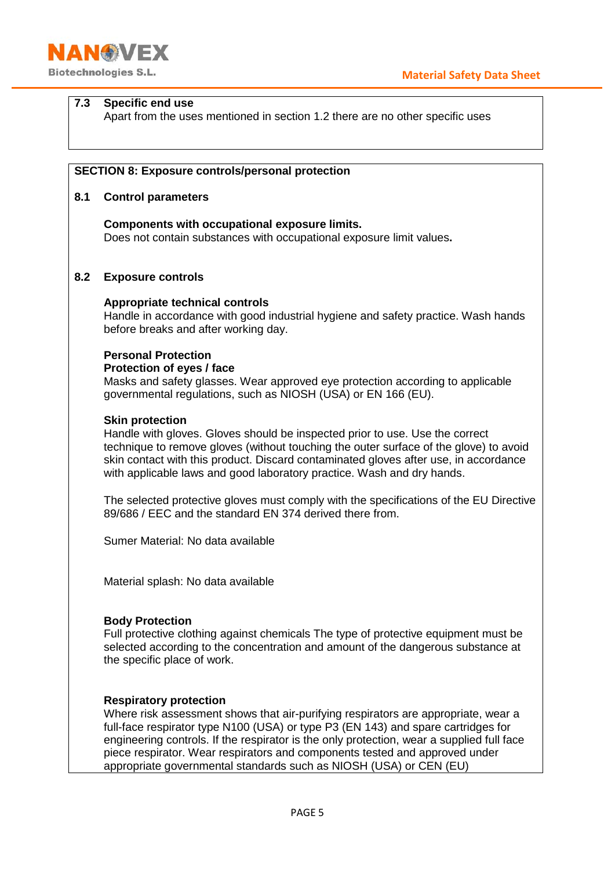**Material Safety Data Sheet**

# **7.3 Specific end use**

**NANGWEX** 

**Biotechnologies S.L.** 

Apart from the uses mentioned in section 1.2 there are no other specific uses

#### **SECTION 8: Exposure controls/personal protection**

#### **8.1 Control parameters**

**Components with occupational exposure limits.** Does not contain substances with occupational exposure limit values**.**

#### **8.2 Exposure controls**

#### **Appropriate technical controls**

Handle in accordance with good industrial hygiene and safety practice. Wash hands before breaks and after working day.

#### **Personal Protection**

#### **Protection of eyes / face**

Masks and safety glasses. Wear approved eye protection according to applicable governmental regulations, such as NIOSH (USA) or EN 166 (EU).

#### **Skin protection**

Handle with gloves. Gloves should be inspected prior to use. Use the correct technique to remove gloves (without touching the outer surface of the glove) to avoid skin contact with this product. Discard contaminated gloves after use, in accordance with applicable laws and good laboratory practice. Wash and dry hands.

The selected protective gloves must comply with the specifications of the EU Directive 89/686 / EEC and the standard EN 374 derived there from.

Sumer Material: No data available

Material splash: No data available

#### **Body Protection**

Full protective clothing against chemicals The type of protective equipment must be selected according to the concentration and amount of the dangerous substance at the specific place of work.

#### **Respiratory protection**

Where risk assessment shows that air-purifying respirators are appropriate, wear a full-face respirator type N100 (USA) or type P3 (EN 143) and spare cartridges for engineering controls. If the respirator is the only protection, wear a supplied full face piece respirator. Wear respirators and components tested and approved under appropriate governmental standards such as NIOSH (USA) or CEN (EU)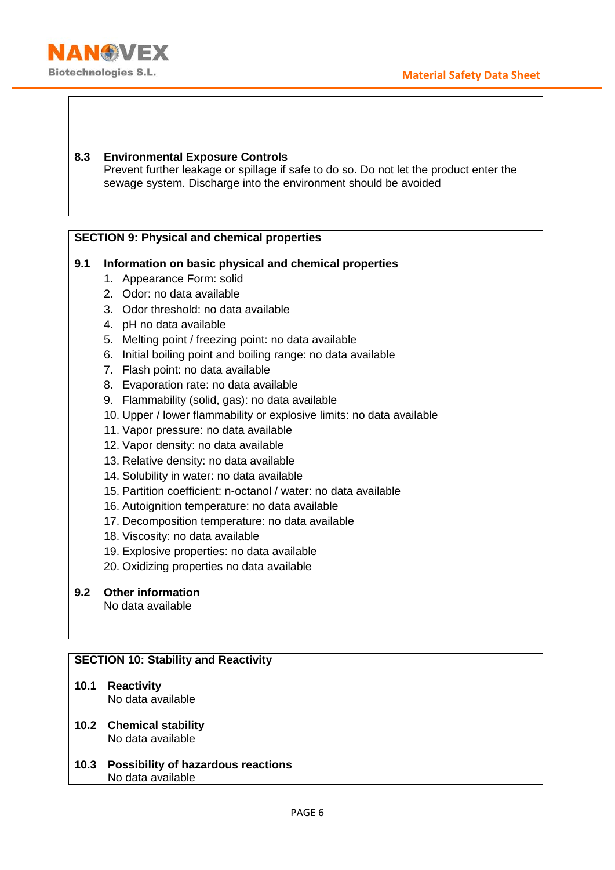

#### **8.3 Environmental Exposure Controls** Prevent further leakage or spillage if safe to do so. Do not let the product enter the sewage system. Discharge into the environment should be avoided

## **SECTION 9: Physical and chemical properties**

## **9.1 Information on basic physical and chemical properties**

- 1. Appearance Form: solid
- 2. Odor: no data available
- 3. Odor threshold: no data available
- 4. pH no data available
- 5. Melting point / freezing point: no data available
- 6. Initial boiling point and boiling range: no data available
- 7. Flash point: no data available
- 8. Evaporation rate: no data available
- 9. Flammability (solid, gas): no data available
- 10. Upper / lower flammability or explosive limits: no data available
- 11. Vapor pressure: no data available
- 12. Vapor density: no data available
- 13. Relative density: no data available
- 14. Solubility in water: no data available
- 15. Partition coefficient: n-octanol / water: no data available
- 16. Autoignition temperature: no data available
- 17. Decomposition temperature: no data available
- 18. Viscosity: no data available
- 19. Explosive properties: no data available
- 20. Oxidizing properties no data available
- **9.2 Other information**

No data available

## **SECTION 10: Stability and Reactivity**

- **10.1 Reactivity** No data available
- **10.2 Chemical stability** No data available
- **10.3 Possibility of hazardous reactions** No data available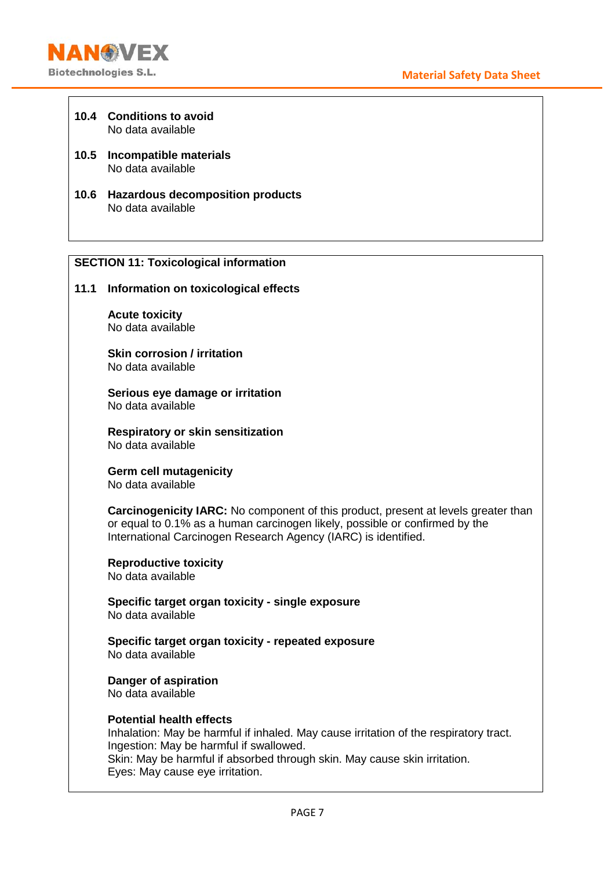- **10.4 Conditions to avoid** No data available
- **10.5 Incompatible materials** No data available
- **10.6 Hazardous decomposition products** No data available

## **SECTION 11: Toxicological information**

**11.1 Information on toxicological effects**

**Acute toxicity** No data available

**Skin corrosion / irritation** No data available

**Serious eye damage or irritation** No data available

**Respiratory or skin sensitization** No data available

**Germ cell mutagenicity** No data available

**Carcinogenicity IARC:** No component of this product, present at levels greater than or equal to 0.1% as a human carcinogen likely, possible or confirmed by the International Carcinogen Research Agency (IARC) is identified.

**Reproductive toxicity** No data available

**Specific target organ toxicity - single exposure** No data available

**Specific target organ toxicity - repeated exposure** No data available

**Danger of aspiration** No data available

#### **Potential health effects**

Inhalation: May be harmful if inhaled. May cause irritation of the respiratory tract. Ingestion: May be harmful if swallowed. Skin: May be harmful if absorbed through skin. May cause skin irritation. Eyes: May cause eye irritation.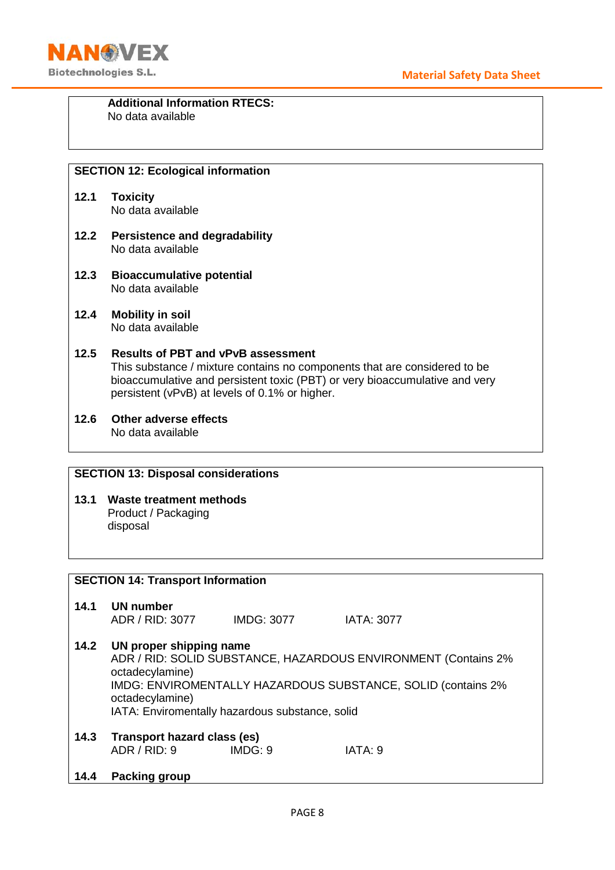

#### **Additional Information RTECS:**  No data available

## **SECTION 12: Ecological information**

- **12.1 Toxicity** No data available
- **12.2 Persistence and degradability** No data available
- **12.3 Bioaccumulative potential** No data available
- **12.4 Mobility in soil** No data available

## **12.5 Results of PBT and vPvB assessment** This substance / mixture contains no components that are considered to be bioaccumulative and persistent toxic (PBT) or very bioaccumulative and very persistent (vPvB) at levels of 0.1% or higher.

**12.6 Other adverse effects** No data available

## **SECTION 13: Disposal considerations**

**13.1 Waste treatment methods** Product / Packaging disposal

## **SECTION 14: Transport Information 14.1 UN number** ADR / RID: 3077 IMDG: 3077 IATA: 3077 **14.2 UN proper shipping name** ADR / RID: SOLID SUBSTANCE, HAZARDOUS ENVIRONMENT (Contains 2% octadecylamine) IMDG: ENVIROMENTALLY HAZARDOUS SUBSTANCE, SOLID (contains 2% octadecylamine) IATA: Enviromentally hazardous substance, solid **14.3 Transport hazard class (es)** ADR / RID: 9 IMDG: 9 IATA: 9 **14.4 Packing group**